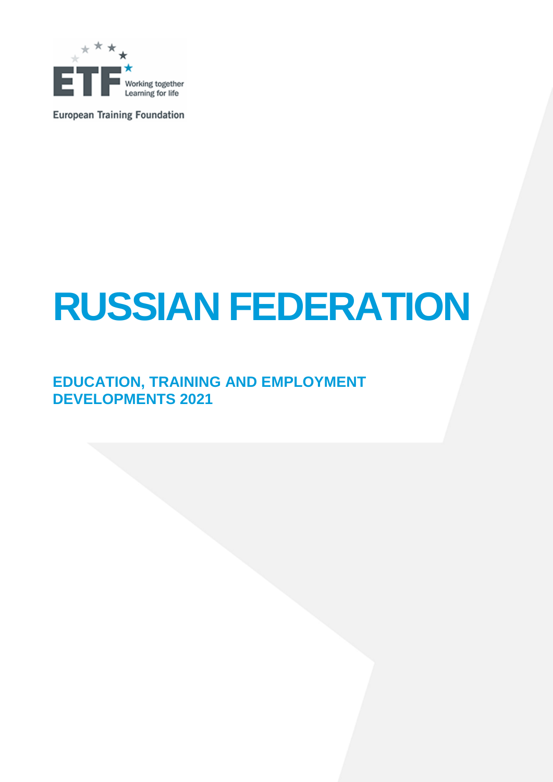

**European Training Foundation** 

# **RUSSIAN FEDERATION**

### **EDUCATION, TRAINING AND EMPLOYMENT DEVELOPMENTS 2021**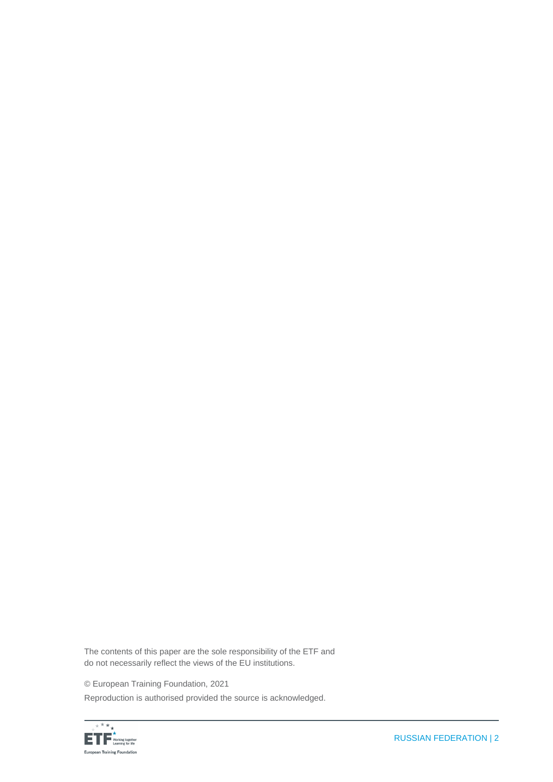The contents of this paper are the sole responsibility of the ETF and do not necessarily reflect the views of the EU institutions.

© European Training Foundation, 2021

Reproduction is authorised provided the source is acknowledged.

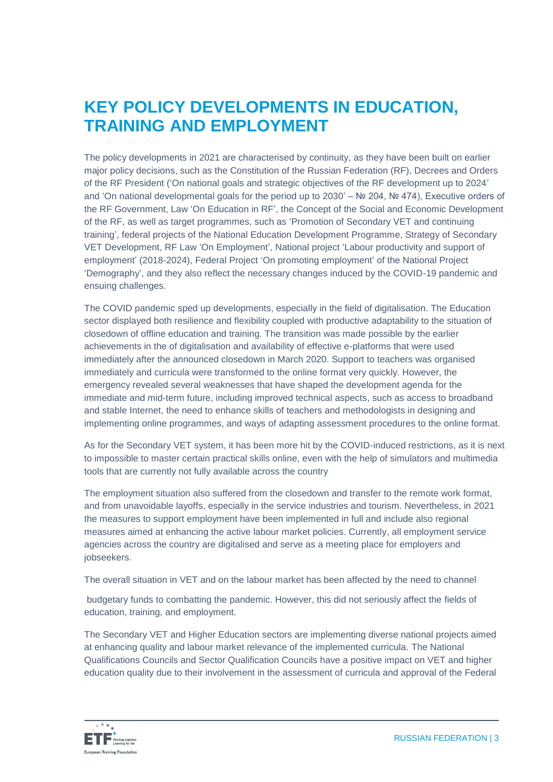### **KEY POLICY DEVELOPMENTS IN EDUCATION, TRAINING AND EMPLOYMENT**

The policy developments in 2021 are characterised by continuity, as they have been built on earlier major policy decisions, such as the Constitution of the Russian Federation (RF), Decrees and Orders of the RF President ('On national goals and strategic objectives of the RF development up to 2024' and 'On national developmental goals for the period up to 2030' – № 204, № 474), Executive orders of the RF Government, Law 'On Education in RF', the Concept of the Social and Economic Development of the RF, as well as target programmes, such as 'Promotion of Secondary VET and continuing training', federal projects of the National Education Development Programme, Strategy of Secondary VET Development, RF Law 'On Employment', National project 'Labour productivity and support of employment' (2018-2024), Federal Project 'On promoting employment' of the National Project 'Demography', and they also reflect the necessary changes induced by the COVID-19 pandemic and ensuing challenges.

The COVID pandemic sped up developments, especially in the field of digitalisation. The Education sector displayed both resilience and flexibility coupled with productive adaptability to the situation of closedown of offline education and training. The transition was made possible by the earlier achievements in the of digitalisation and availability of effective e-platforms that were used immediately after the announced closedown in March 2020. Support to teachers was organised immediately and curricula were transformed to the online format very quickly. However, the emergency revealed several weaknesses that have shaped the development agenda for the immediate and mid-term future, including improved technical aspects, such as access to broadband and stable Internet, the need to enhance skills of teachers and methodologists in designing and implementing online programmes, and ways of adapting assessment procedures to the online format.

As for the Secondary VET system, it has been more hit by the COVID-induced restrictions, as it is next to impossible to master certain practical skills online, even with the help of simulators and multimedia tools that are currently not fully available across the country

The employment situation also suffered from the closedown and transfer to the remote work format, and from unavoidable layoffs, especially in the service industries and tourism. Nevertheless, in 2021 the measures to support employment have been implemented in full and include also regional measures aimed at enhancing the active labour market policies. Currently, all employment service agencies across the country are digitalised and serve as a meeting place for employers and jobseekers.

The overall situation in VET and on the labour market has been affected by the need to channel

budgetary funds to combatting the pandemic. However, this did not seriously affect the fields of education, training, and employment.

The Secondary VET and Higher Education sectors are implementing diverse national projects aimed at enhancing quality and labour market relevance of the implemented curricula. The National Qualifications Councils and Sector Qualification Councils have a positive impact on VET and higher education quality due to their involvement in the assessment of curricula and approval of the Federal

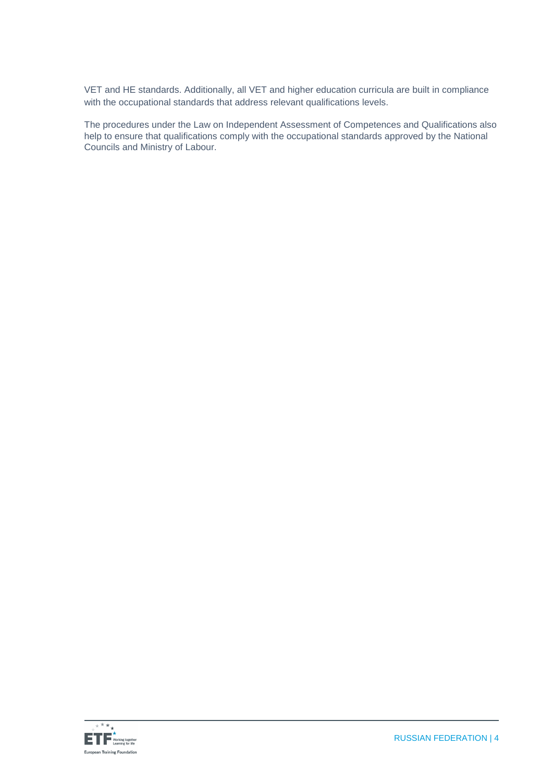VET and HE standards. Additionally, all VET and higher education curricula are built in compliance with the occupational standards that address relevant qualifications levels.

The procedures under the Law on Independent Assessment of Competences and Qualifications also help to ensure that qualifications comply with the occupational standards approved by the National Councils and Ministry of Labour.

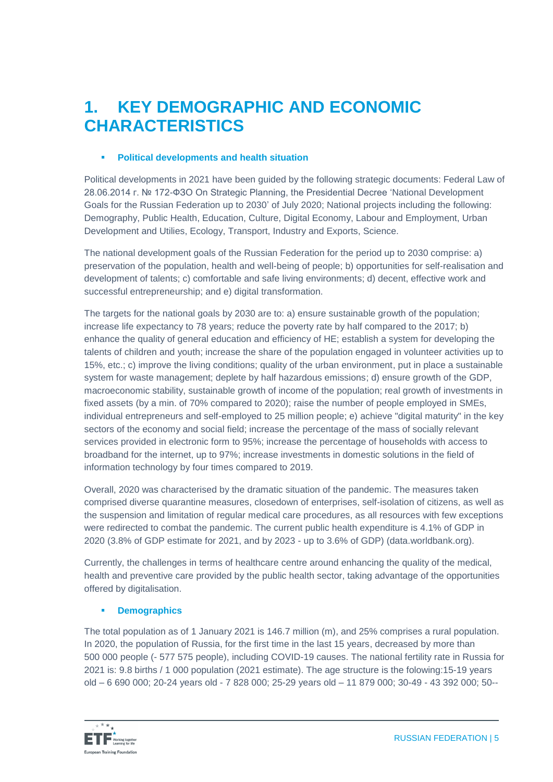### **1. KEY DEMOGRAPHIC AND ECONOMIC CHARACTERISTICS**

### **Political developments and health situation**

Political developments in 2021 have been guided by the following strategic documents: Federal Law of 28.06.2014 г. № 172-ФЗО On Strategic Planning, the Presidential Decree 'National Development Goals for the Russian Federation up to 2030' of July 2020; National projects including the following: Demography, Public Health, Education, Culture, Digital Economy, Labour and Employment, Urban Development and Utilies, Ecology, Transport, Industry and Exports, Science.

The national development goals of the Russian Federation for the period up to 2030 comprise: a) preservation of the population, health and well-being of people; b) opportunities for self-realisation and development of talents; c) comfortable and safe living environments; d) decent, effective work and successful entrepreneurship; and e) digital transformation.

The targets for the national goals by 2030 are to: a) ensure sustainable growth of the population; increase life expectancy to 78 years; reduce the poverty rate by half compared to the 2017; b) enhance the quality of general education and efficiency of HE; establish a system for developing the talents of children and youth; increase the share of the population engaged in volunteer activities up to 15%, etc.; c) improve the living conditions; quality of the urban environment, put in place a sustainable system for waste management; deplete by half hazardous emissions; d) ensure growth of the GDP, macroeconomic stability, sustainable growth of income of the population; real growth of investments in fixed assets (by a min. of 70% compared to 2020); raise the number of people employed in SMEs, individual entrepreneurs and self-employed to 25 million people; e) achieve "digital maturity" in the key sectors of the economy and social field; increase the percentage of the mass of socially relevant services provided in electronic form to 95%; increase the percentage of households with access to broadband for the internet, up to 97%; increase investments in domestic solutions in the field of information technology by four times compared to 2019.

Overall, 2020 was characterised by the dramatic situation of the pandemic. The measures taken comprised diverse quarantine measures, closedown of enterprises, self-isolation of citizens, as well as the suspension and limitation of regular medical care procedures, as all resources with few exceptions were redirected to combat the pandemic. The current public health expenditure is 4.1% of GDP in 2020 (3.8% of GDP estimate for 2021, and by 2023 - up to 3.6% of GDP) (data.worldbank.org).

Currently, the challenges in terms of healthcare centre around enhancing the quality of the medical, health and preventive care provided by the public health sector, taking advantage of the opportunities offered by digitalisation.

### **Demographics**

The total population as of 1 January 2021 is 146.7 million (m), and 25% comprises a rural population. In 2020, the population of Russia, for the first time in the last 15 years, decreased by more than 500 000 people (- 577 575 people), including COVID-19 causes. The national fertility rate in Russia for 2021 is: 9.8 births / 1 000 population (2021 estimate). The age structure is the folowing:15-19 years old – 6 690 000; 20-24 years old - 7 828 000; 25-29 years old – 11 879 000; 30-49 - 43 392 000; 50--

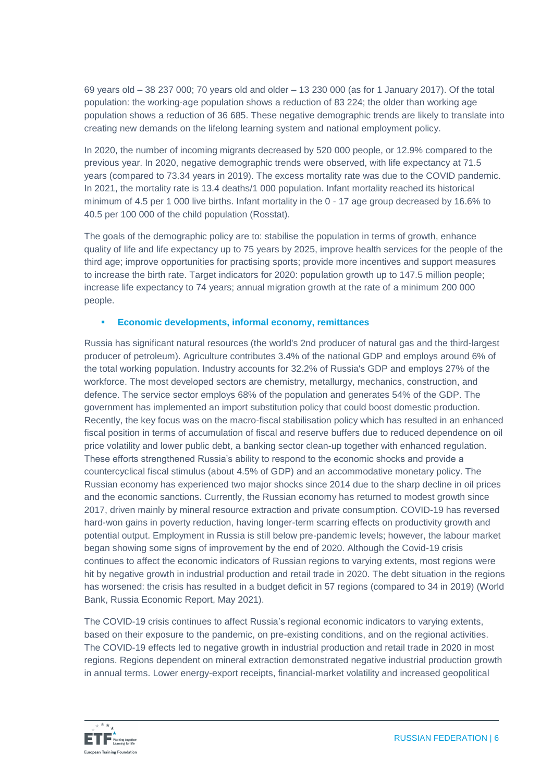69 years old – 38 237 000; 70 years old and older – 13 230 000 (as for 1 January 2017). Of the total population: the working-age population shows a reduction of 83 224; the older than working age population shows a reduction of 36 685. These negative demographic trends are likely to translate into creating new demands on the lifelong learning system and national employment policy.

In 2020, the number of incoming migrants decreased by 520 000 people, or 12.9% compared to the previous year. In 2020, negative demographic trends were observed, with life expectancy at 71.5 years (compared to 73.34 years in 2019). The excess mortality rate was due to the COVID pandemic. In 2021, the mortality rate is 13.4 deaths/1 000 population. Infant mortality reached its historical minimum of 4.5 per 1 000 live births. Infant mortality in the 0 - 17 age group decreased by 16.6% to 40.5 per 100 000 of the child population (Rosstat).

The goals of the demographic policy are to: stabilise the population in terms of growth, enhance quality of life and life expectancy up to 75 years by 2025, improve health services for the people of the third age; improve opportunities for practising sports; provide more incentives and support measures to increase the birth rate. Target indicators for 2020: population growth up to 147.5 million people; increase life expectancy to 74 years; annual migration growth at the rate of a minimum 200 000 people.

### **Economic developments, informal economy, remittances**

Russia has significant natural resources (the world's 2nd producer of natural gas and the third-largest producer of petroleum). Agriculture contributes 3.4% of the national GDP and employs around 6% of the total working population. Industry accounts for 32.2% of Russia's GDP and employs 27% of the workforce. The most developed sectors are chemistry, metallurgy, mechanics, construction, and defence. The service sector employs 68% of the population and generates 54% of the GDP. The government has implemented an import substitution policy that could boost domestic production. Recently, the key focus was on the macro-fiscal stabilisation policy which has resulted in an enhanced fiscal position in terms of accumulation of fiscal and reserve buffers due to reduced dependence on oil price volatility and lower public debt, a banking sector clean-up together with enhanced regulation. These efforts strengthened Russia's ability to respond to the economic shocks and provide a countercyclical fiscal stimulus (about 4.5% of GDP) and an accommodative monetary policy. The Russian economy has experienced two major shocks since 2014 due to the sharp decline in oil prices and the economic sanctions. Currently, the Russian economy has returned to modest growth since 2017, driven mainly by mineral resource extraction and private consumption. COVID-19 has reversed hard-won gains in poverty reduction, having longer-term scarring effects on productivity growth and potential output. Employment in Russia is still below pre-pandemic levels; however, the labour market began showing some signs of improvement by the end of 2020. Although the Covid-19 crisis continues to affect the economic indicators of Russian regions to varying extents, most regions were hit by negative growth in industrial production and retail trade in 2020. The debt situation in the regions has worsened: the crisis has resulted in a budget deficit in 57 regions (compared to 34 in 2019) (World Bank, Russia Economic Report, May 2021).

The COVID-19 crisis continues to affect Russia's regional economic indicators to varying extents, based on their exposure to the pandemic, on pre-existing conditions, and on the regional activities. The COVID-19 effects led to negative growth in industrial production and retail trade in 2020 in most regions. Regions dependent on mineral extraction demonstrated negative industrial production growth in annual terms. Lower energy-export receipts, financial-market volatility and increased geopolitical

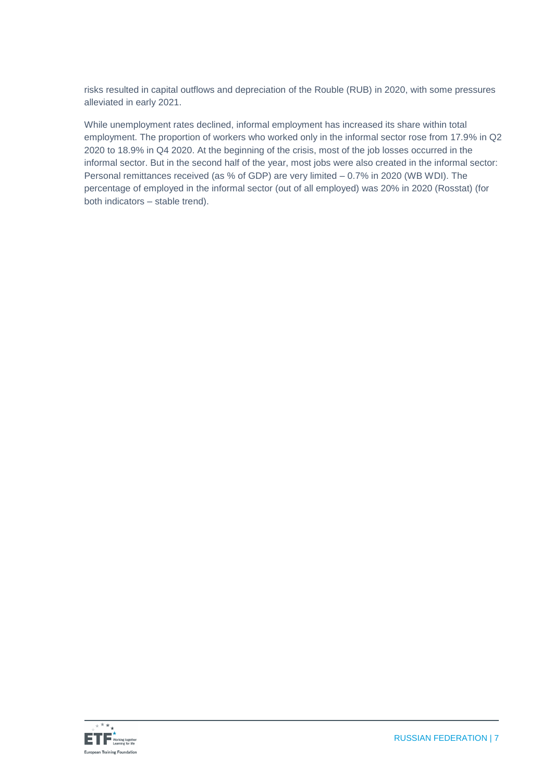risks resulted in capital outflows and depreciation of the Rouble (RUB) in 2020, with some pressures alleviated in early 2021.

While unemployment rates declined, informal employment has increased its share within total employment. The proportion of workers who worked only in the informal sector rose from 17.9% in Q2 2020 to 18.9% in Q4 2020. At the beginning of the crisis, most of the job losses occurred in the informal sector. But in the second half of the year, most jobs were also created in the informal sector: Personal remittances received (as % of GDP) are very limited – 0.7% in 2020 (WB WDI). The percentage of employed in the informal sector (out of all employed) was 20% in 2020 (Rosstat) (for both indicators – stable trend).

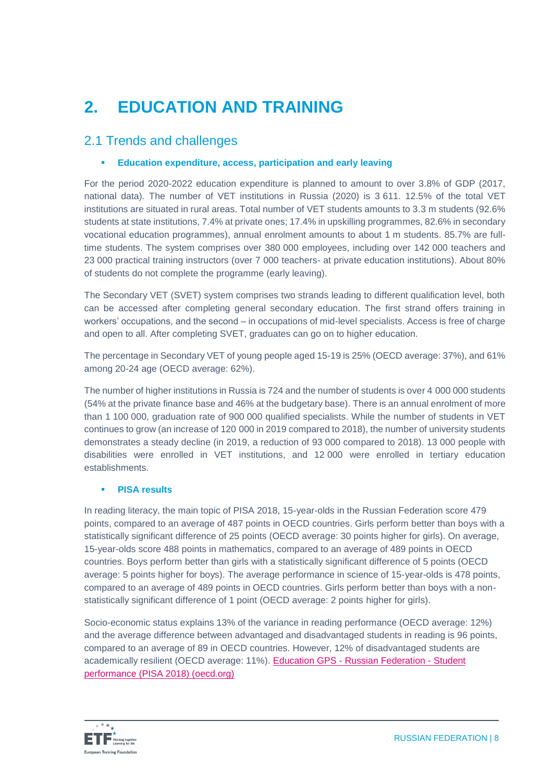# **2. EDUCATION AND TRAINING**

### 2.1 Trends and challenges

### **Education expenditure, access, participation and early leaving**

For the period 2020-2022 education expenditure is planned to amount to over 3.8% of GDP (2017, national data). The number of VET institutions in Russia (2020) is 3 611. 12.5% of the total VET institutions are situated in rural areas. Total number of VET students amounts to 3.3 m students (92.6% students at state institutions, 7.4% at private ones; 17.4% in upskilling programmes, 82.6% in secondary vocational education programmes), annual enrolment amounts to about 1 m students. 85.7% are fulltime students. The system comprises over 380 000 employees, including over 142 000 teachers and 23 000 practical training instructors (over 7 000 teachers- at private education institutions). About 80% of students do not complete the programme (early leaving).

The Secondary VET (SVET) system comprises two strands leading to different qualification level, both can be accessed after completing general secondary education. The first strand offers training in workers' occupations, and the second – in occupations of mid-level specialists. Access is free of charge and open to all. After completing SVET, graduates can go on to higher education.

The percentage in Secondary VET of young people aged 15-19 is 25% (OECD average: 37%), and 61% among 20-24 age (OECD average: 62%).

The number of higher institutions in Russia is 724 and the number of students is over 4 000 000 students (54% at the private finance base and 46% at the budgetary base). There is an annual enrolment of more than 1 100 000, graduation rate of 900 000 qualified specialists. While the number of students in VET continues to grow (an increase of 120 000 in 2019 compared to 2018), the number of university students demonstrates a steady decline (in 2019, a reduction of 93 000 compared to 2018). 13 000 people with disabilities were enrolled in VET institutions, and 12 000 were enrolled in tertiary education establishments.

### **PISA results**

In reading literacy, the main topic of PISA 2018, 15-year-olds in the Russian Federation score 479 points, compared to an average of 487 points in OECD countries. Girls perform better than boys with a statistically significant difference of 25 points (OECD average: 30 points higher for girls). On average, 15-year-olds score 488 points in mathematics, compared to an average of 489 points in OECD countries. Boys perform better than girls with a statistically significant difference of 5 points (OECD average: 5 points higher for boys). The average performance in science of 15-year-olds is 478 points, compared to an average of 489 points in OECD countries. Girls perform better than boys with a nonstatistically significant difference of 1 point (OECD average: 2 points higher for girls).

Socio-economic status explains 13% of the variance in reading performance (OECD average: 12%) and the average difference between advantaged and disadvantaged students in reading is 96 points, compared to an average of 89 in OECD countries. However, 12% of disadvantaged students are academically resilient (OECD average: 11%). Education GPS - Russian Federation - Student performance (PISA 2018) (oecd.org)

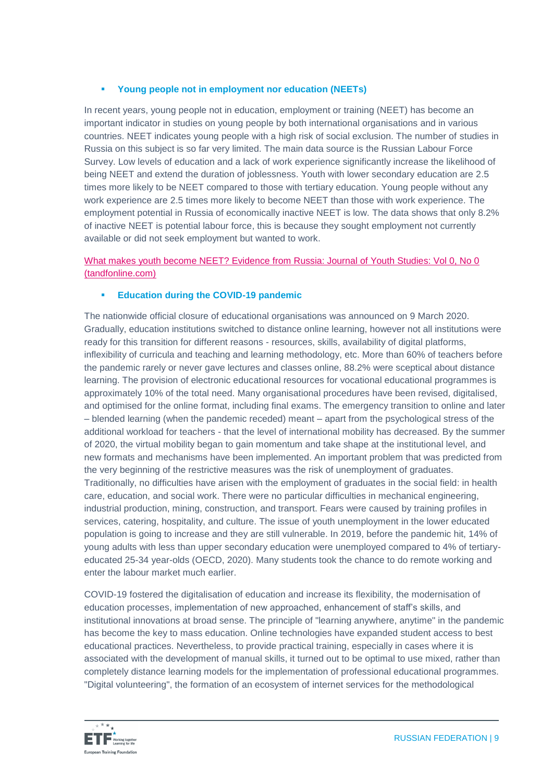### **Young people not in employment nor education (NEETs)**

In recent years, young people not in education, employment or training (NEET) has become an important indicator in studies on young people by both international organisations and in various countries. NEET indicates young people with a high risk of social exclusion. The number of studies in Russia on this subject is so far very limited. The main data source is the Russian Labour Force Survey. Low levels of education and a lack of work experience significantly increase the likelihood of being NEET and extend the duration of joblessness. Youth with lower secondary education are 2.5 times more likely to be NEET compared to those with tertiary education. Young people without any work experience are 2.5 times more likely to become NEET than those with work experience. The employment potential in Russia of economically inactive NEET is low. The data shows that only 8.2% of inactive NEET is potential labour force, this is because they sought employment not currently available or did not seek employment but wanted to work.

### [What makes youth become NEET? Evidence from Russia: Journal of Youth Studies: Vol 0, No 0](https://www.tandfonline.com/doi/full/10.1080/13676261.2021.1923673)  [\(tandfonline.com\)](https://www.tandfonline.com/doi/full/10.1080/13676261.2021.1923673)

### **Education during the COVID-19 pandemic**

The nationwide official closure of educational organisations was announced on 9 March 2020. Gradually, education institutions switched to distance online learning, however not all institutions were ready for this transition for different reasons - resources, skills, availability of digital platforms, inflexibility of curricula and teaching and learning methodology, etc. More than 60% of teachers before the pandemic rarely or never gave lectures and classes online, 88.2% were sceptical about distance learning. The provision of electronic educational resources for vocational educational programmes is approximately 10% of the total need. Many organisational procedures have been revised, digitalised, and optimised for the online format, including final exams. The emergency transition to online and later – blended learning (when the pandemic receded) meant – apart from the psychological stress of the additional workload for teachers - that the level of international mobility has decreased. By the summer of 2020, the virtual mobility began to gain momentum and take shape at the institutional level, and new formats and mechanisms have been implemented. An important problem that was predicted from the very beginning of the restrictive measures was the risk of unemployment of graduates. Traditionally, no difficulties have arisen with the employment of graduates in the social field: in health care, education, and social work. There were no particular difficulties in mechanical engineering, industrial production, mining, construction, and transport. Fears were caused by training profiles in services, catering, hospitality, and culture. The issue of youth unemployment in the lower educated population is going to increase and they are still vulnerable. In 2019, before the pandemic hit, 14% of young adults with less than upper secondary education were unemployed compared to 4% of tertiaryeducated 25-34 year-olds (OECD, 2020). Many students took the chance to do remote working and enter the labour market much earlier.

COVID-19 fostered the digitalisation of education and increase its flexibility, the modernisation of education processes, implementation of new approached, enhancement of staff's skills, and institutional innovations at broad sense. The principle of "learning anywhere, anytime" in the pandemic has become the key to mass education. Online technologies have expanded student access to best educational practices. Nevertheless, to provide practical training, especially in cases where it is associated with the development of manual skills, it turned out to be optimal to use mixed, rather than completely distance learning models for the implementation of professional educational programmes. "Digital volunteering", the formation of an ecosystem of internet services for the methodological

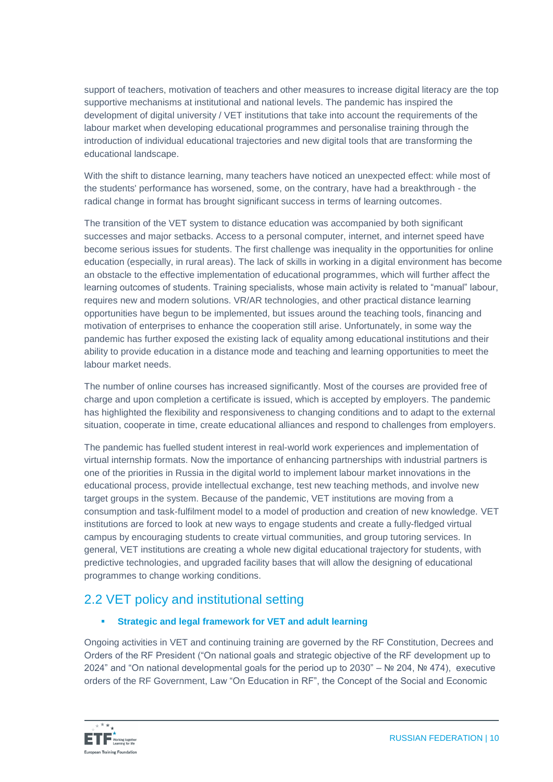support of teachers, motivation of teachers and other measures to increase digital literacy are the top supportive mechanisms at institutional and national levels. The pandemic has inspired the development of digital university / VET institutions that take into account the requirements of the labour market when developing educational programmes and personalise training through the introduction of individual educational trajectories and new digital tools that are transforming the educational landscape.

With the shift to distance learning, many teachers have noticed an unexpected effect: while most of the students' performance has worsened, some, on the contrary, have had a breakthrough - the radical change in format has brought significant success in terms of learning outcomes.

The transition of the VET system to distance education was accompanied by both significant successes and major setbacks. Access to a personal computer, internet, and internet speed have become serious issues for students. The first challenge was inequality in the opportunities for online education (especially, in rural areas). The lack of skills in working in a digital environment has become an obstacle to the effective implementation of educational programmes, which will further affect the learning outcomes of students. Training specialists, whose main activity is related to "manual" labour, requires new and modern solutions. VR/AR technologies, and other practical distance learning opportunities have begun to be implemented, but issues around the teaching tools, financing and motivation of enterprises to enhance the cooperation still arise. Unfortunately, in some way the pandemic has further exposed the existing lack of equality among educational institutions and their ability to provide education in a distance mode and teaching and learning opportunities to meet the labour market needs.

The number of online courses has increased significantly. Most of the courses are provided free of charge and upon completion a certificate is issued, which is accepted by employers. The pandemic has highlighted the flexibility and responsiveness to changing conditions and to adapt to the external situation, cooperate in time, create educational alliances and respond to challenges from employers.

The pandemic has fuelled student interest in real-world work experiences and implementation of virtual internship formats. Now the importance of enhancing partnerships with industrial partners is one of the priorities in Russia in the digital world to implement labour market innovations in the educational process, provide intellectual exchange, test new teaching methods, and involve new target groups in the system. Because of the pandemic, VET institutions are moving from a consumption and task-fulfilment model to a model of production and creation of new knowledge. VET institutions are forced to look at new ways to engage students and create a fully-fledged virtual campus by encouraging students to create virtual communities, and group tutoring services. In general, VET institutions are creating a whole new digital educational trajectory for students, with predictive technologies, and upgraded facility bases that will allow the designing of educational programmes to change working conditions.

### 2.2 VET policy and institutional setting

### **Strategic and legal framework for VET and adult learning**

Ongoing activities in VET and continuing training are governed by the RF Constitution, Decrees and Orders of the RF President ("On national goals and strategic objective of the RF development up to 2024" and "On national developmental goals for the period up to 2030" – № 204, № 474), executive orders of the RF Government, Law "On Education in RF", the Concept of the Social and Economic

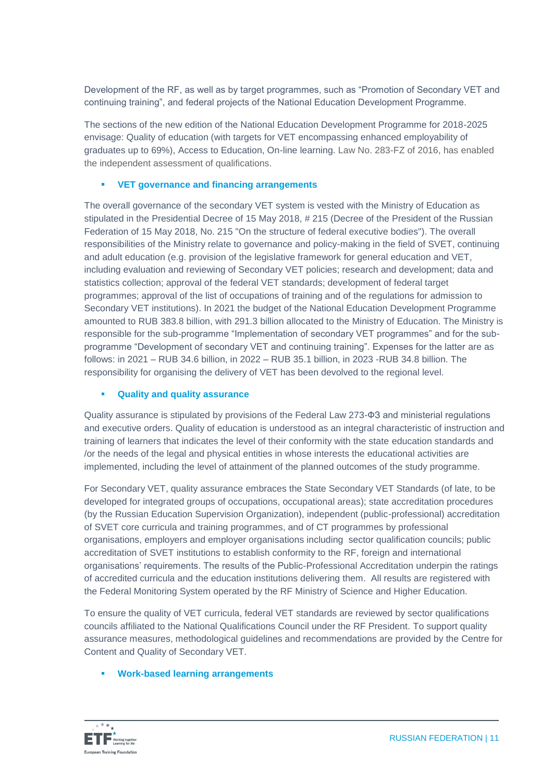Development of the RF, as well as by target programmes, such as "Promotion of Secondary VET and continuing training", and federal projects of the National Education Development Programme.

The sections of the new edition of the National Education Development Programme for 2018-2025 envisage: Quality of education (with targets for VET encompassing enhanced employability of graduates up to 69%), Access to Education, On-line learning. Law No. 283-FZ of 2016, has enabled the independent assessment of qualifications.

### **VET governance and financing arrangements**

The overall governance of the secondary VET system is vested with the Ministry of Education as stipulated in the Presidential Decree of 15 May 2018, # 215 (Decree of the President of the Russian Federation of 15 May 2018, No. 215 "On the structure of federal executive bodies"). The overall responsibilities of the Ministry relate to governance and policy-making in the field of SVET, continuing and adult education (e.g. provision of the legislative framework for general education and VET, including evaluation and reviewing of Secondary VET policies; research and development; data and statistics collection; approval of the federal VET standards; development of federal target programmes; approval of the list of occupations of training and of the regulations for admission to Secondary VET institutions). In 2021 the budget of the National Education Development Programme amounted to RUB 383.8 billion, with 291.3 billion allocated to the Ministry of Education. The Ministry is responsible for the sub-programme "Implementation of secondary VET programmes" and for the subprogramme "Development of secondary VET and continuing training". Expenses for the latter are as follows: in 2021 – RUB 34.6 billion, in 2022 – RUB 35.1 billion, in 2023 -RUB 34.8 billion. The responsibility for organising the delivery of VET has been devolved to the regional level.

### **Quality and quality assurance**

Quality assurance is stipulated by provisions of the Federal Law 273-ФЗ and ministerial regulations and executive orders. Quality of education is understood as an integral characteristic of instruction and training of learners that indicates the level of their conformity with the state education standards and /or the needs of the legal and physical entities in whose interests the educational activities are implemented, including the level of attainment of the planned outcomes of the study programme.

For Secondary VET, quality assurance embraces the State Secondary VET Standards (of late, to be developed for integrated groups of occupations, occupational areas); state accreditation procedures (by the Russian Education Supervision Organization), independent (public-professional) accreditation of SVET core curricula and training programmes, and of CT programmes by professional organisations, employers and employer organisations including sector qualification councils; public accreditation of SVET institutions to establish conformity to the RF, foreign and international organisations' requirements. The results of the Public-Professional Accreditation underpin the ratings of accredited curricula and the education institutions delivering them. All results are registered with the Federal Monitoring System operated by the RF Ministry of Science and Higher Education.

To ensure the quality of VET curricula, federal VET standards are reviewed by sector qualifications councils affiliated to the National Qualifications Council under the RF President. To support quality assurance measures, methodological guidelines and recommendations are provided by the Centre for Content and Quality of Secondary VET.

### **Work-based learning arrangements**

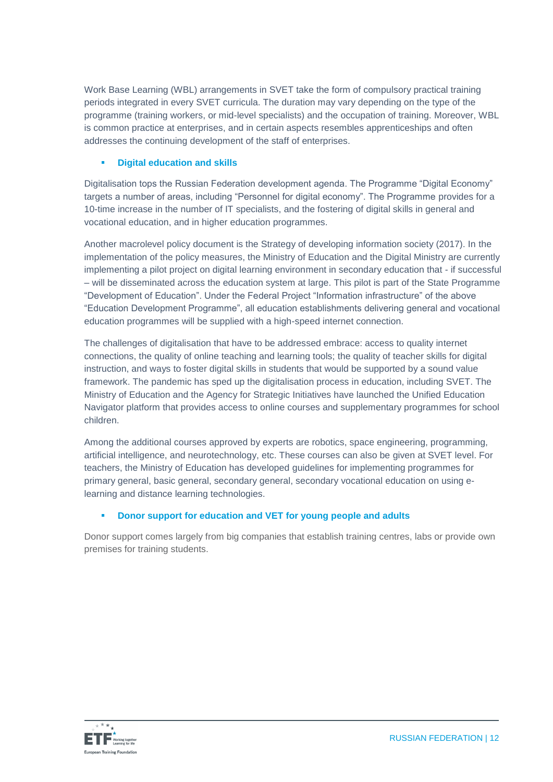Work Base Learning (WBL) arrangements in SVET take the form of compulsory practical training periods integrated in every SVET curricula. The duration may vary depending on the type of the programme (training workers, or mid-level specialists) and the occupation of training. Moreover, WBL is common practice at enterprises, and in certain aspects resembles apprenticeships and often addresses the continuing development of the staff of enterprises.

### **Digital education and skills**

Digitalisation tops the Russian Federation development agenda. The Programme "Digital Economy" targets a number of areas, including "Personnel for digital economy". The Programme provides for a 10-time increase in the number of IT specialists, and the fostering of digital skills in general and vocational education, and in higher education programmes.

Another macrolevel policy document is the Strategy of developing information society (2017). In the implementation of the policy measures, the Ministry of Education and the Digital Ministry are currently implementing a pilot project on digital learning environment in secondary education that - if successful – will be disseminated across the education system at large. This pilot is part of the State Programme "Development of Education". Under the Federal Project "Information infrastructure" of the above "Education Development Programme", all education establishments delivering general and vocational education programmes will be supplied with a high-speed internet connection.

The challenges of digitalisation that have to be addressed embrace: access to quality internet connections, the quality of online teaching and learning tools; the quality of teacher skills for digital instruction, and ways to foster digital skills in students that would be supported by a sound value framework. The pandemic has sped up the digitalisation process in education, including SVET. The Ministry of Education and the Agency for Strategic Initiatives have launched the Unified Education Navigator platform that provides access to online courses and supplementary programmes for school children.

Among the additional courses approved by experts are robotics, space engineering, programming, artificial intelligence, and neurotechnology, etc. These courses can also be given at SVET level. For teachers, the Ministry of Education has developed guidelines for implementing programmes for primary general, basic general, secondary general, secondary vocational education on using elearning and distance learning technologies.

### **Donor support for education and VET for young people and adults**

Donor support comes largely from big companies that establish training centres, labs or provide own premises for training students.

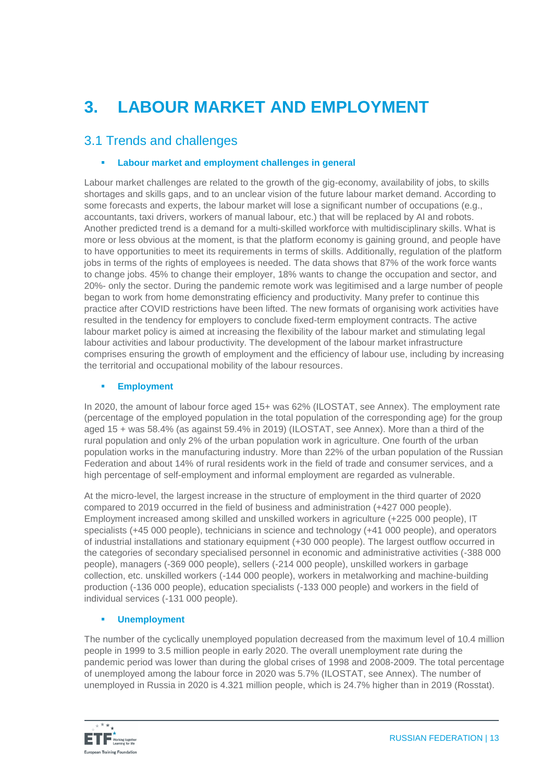# **3. LABOUR MARKET AND EMPLOYMENT**

### 3.1 Trends and challenges

### **Labour market and employment challenges in general**

Labour market challenges are related to the growth of the gig-economy, availability of jobs, to skills shortages and skills gaps, and to an unclear vision of the future labour market demand. According to some forecasts and experts, the labour market will lose a significant number of occupations (e.g., accountants, taxi drivers, workers of manual labour, etc.) that will be replaced by AI and robots. Another predicted trend is a demand for a multi-skilled workforce with multidisciplinary skills. What is more or less obvious at the moment, is that the platform economy is gaining ground, and people have to have opportunities to meet its requirements in terms of skills. Additionally, regulation of the platform jobs in terms of the rights of employees is needed. The data shows that 87% of the work force wants to change jobs. 45% to change their employer, 18% wants to change the occupation and sector, and 20%- only the sector. During the pandemic remote work was legitimised and a large number of people began to work from home demonstrating efficiency and productivity. Many prefer to continue this practice after COVID restrictions have been lifted. The new formats of organising work activities have resulted in the tendency for employers to conclude fixed-term employment contracts. The active labour market policy is aimed at increasing the flexibility of the labour market and stimulating legal labour activities and labour productivity. The development of the labour market infrastructure comprises ensuring the growth of employment and the efficiency of labour use, including by increasing the territorial and occupational mobility of the labour resources.

### **Employment**

In 2020, the amount of labour force aged 15+ was 62% (ILOSTAT, see Annex). The employment rate (percentage of the employed population in the total population of the corresponding age) for the group aged 15 + was 58.4% (as against 59.4% in 2019) (ILOSTAT, see Annex). More than a third of the rural population and only 2% of the urban population work in agriculture. One fourth of the urban population works in the manufacturing industry. More than 22% of the urban population of the Russian Federation and about 14% of rural residents work in the field of trade and consumer services, and a high percentage of self-employment and informal employment are regarded as vulnerable.

At the micro-level, the largest increase in the structure of employment in the third quarter of 2020 compared to 2019 occurred in the field of business and administration (+427 000 people). Employment increased among skilled and unskilled workers in agriculture (+225 000 people), IT specialists (+45 000 people), technicians in science and technology (+41 000 people), and operators of industrial installations and stationary equipment (+30 000 people). The largest outflow occurred in the categories of secondary specialised personnel in economic and administrative activities (-388 000 people), managers (-369 000 people), sellers (-214 000 people), unskilled workers in garbage collection, etc. unskilled workers (-144 000 people), workers in metalworking and machine-building production (-136 000 people), education specialists (-133 000 people) and workers in the field of individual services (-131 000 people).

### **Unemployment**

The number of the cyclically unemployed population decreased from the maximum level of 10.4 million people in 1999 to 3.5 million people in early 2020. The overall unemployment rate during the pandemic period was lower than during the global crises of 1998 and 2008-2009. The total percentage of unemployed among the labour force in 2020 was 5.7% (ILOSTAT, see Annex). The number of unemployed in Russia in 2020 is 4.321 million people, which is 24.7% higher than in 2019 (Rosstat).

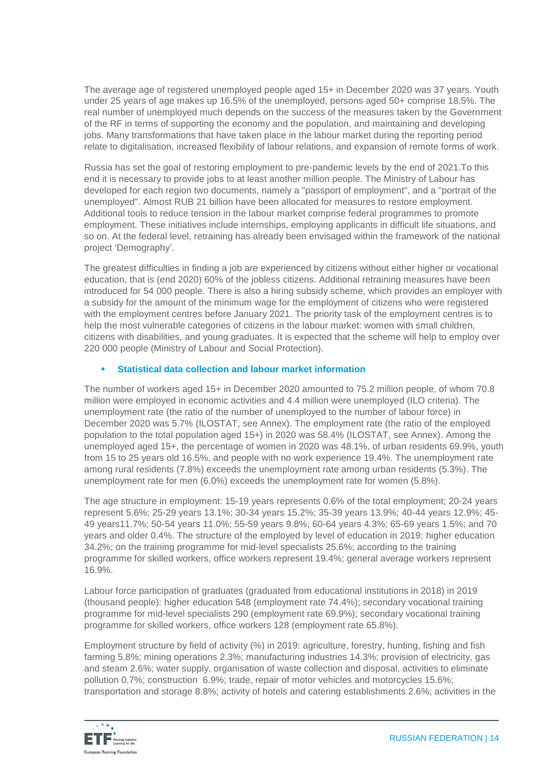The average age of registered unemployed people aged 15+ in December 2020 was 37 years. Youth under 25 years of age makes up 16.5% of the unemployed, persons aged 50+ comprise 18.5%. The real number of unemployed much depends on the success of the measures taken by the Government of the RF in terms of supporting the economy and the population, and maintaining and developing jobs. Many transformations that have taken place in the labour market during the reporting period relate to digitalisation, increased flexibility of labour relations, and expansion of remote forms of work.

Russia has set the goal of restoring employment to pre-pandemic levels by the end of 2021.To this end it is necessary to provide jobs to at least another million people. The Ministry of Labour has developed for each region two documents, namely a "passport of employment", and a "portrait of the unemployed". Almost RUB 21 billion have been allocated for measures to restore employment. Additional tools to reduce tension in the labour market comprise federal programmes to promote employment. These initiatives include internships, employing applicants in difficult life situations, and so on. At the federal level, retraining has already been envisaged within the framework of the national project 'Demography'.

The greatest difficulties in finding a job are experienced by citizens without either higher or vocational education, that is (end 2020) 60% of the jobless citizens. Additional retraining measures have been introduced for 54 000 people. There is also a hiring subsidy scheme, which provides an employer with a subsidy for the amount of the minimum wage for the employment of citizens who were registered with the employment centres before January 2021. The priority task of the employment centres is to help the most vulnerable categories of citizens in the labour market: women with small children, citizens with disabilities, and young graduates. It is expected that the scheme will help to employ over 220 000 people (Ministry of Labour and Social Protection).

### **Statistical data collection and labour market information**

The number of workers aged 15+ in December 2020 amounted to 75.2 million people, of whom 70.8 million were employed in economic activities and 4.4 million were unemployed (ILO criteria). The unemployment rate (the ratio of the number of unemployed to the number of labour force) in December 2020 was 5.7% (ILOSTAT, see Annex). The employment rate (the ratio of the employed population to the total population aged 15+) in 2020 was 58.4% (ILOSTAT, see Annex). Among the unemployed aged 15+, the percentage of women in 2020 was 48.1%, of urban residents 69.9%, youth from 15 to 25 years old 16.5%, and people with no work experience 19.4%. The unemployment rate among rural residents (7.8%) exceeds the unemployment rate among urban residents (5.3%). The unemployment rate for men (6.0%) exceeds the unemployment rate for women (5.8%).

The age structure in employment: 15-19 years represents 0.6% of the total employment; 20-24 years represent 5.6%; 25-29 years 13.1%; 30-34 years 15.2%; 35-39 years 13.9%; 40-44 years 12.9%; 45- 49 years11.7%; 50-54 years 11.0%; 55-59 years 9.8%; 60-64 years 4.3%; 65-69 years 1.5%; and 70 years and older 0.4%. The structure of the employed by level of education in 2019: higher education 34.2%; on the training programme for mid-level specialists 25.6%; according to the training programme for skilled workers, office workers represent 19.4%; general average workers represent 16.9%.

Labour force participation of graduates (graduated from educational institutions in 2018) in 2019 (thousand people): higher education 548 (employment rate 74.4%); secondary vocational training programme for mid-level specialists 290 (employment rate 69.9%); secondary vocational training programme for skilled workers, office workers 128 (employment rate 65.8%).

Employment structure by field of activity (%) in 2019: agriculture, forestry, hunting, fishing and fish farming 5.8%; mining operations 2.3%; manufacturing industries 14.3%; provision of electricity, gas and steam 2.6%; water supply, organisation of waste collection and disposal, activities to eliminate pollution 0.7%; construction 6.9%; trade, repair of motor vehicles and motorcycles 15.6%; transportation and storage 8.8%; activity of hotels and catering establishments 2.6%; activities in the

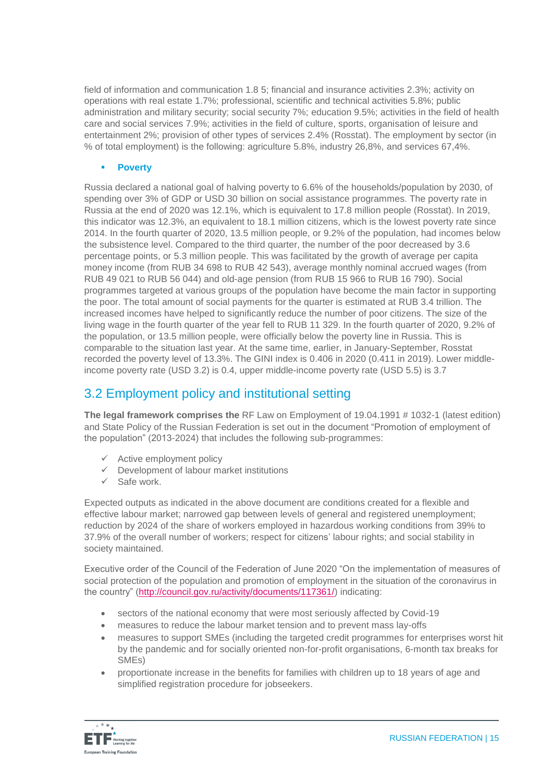field of information and communication 1.8 5; financial and insurance activities 2.3%; activity on operations with real estate 1.7%; professional, scientific and technical activities 5.8%; public administration and military security; social security 7%; education 9.5%; activities in the field of health care and social services 7.9%; activities in the field of culture, sports, organisation of leisure and entertainment 2%; provision of other types of services 2.4% (Rosstat). The employment by sector (in % of total employment) is the following: agriculture 5.8%, industry 26,8%, and services 67,4%.

#### **Poverty**

Russia declared a national goal of halving poverty to 6.6% of the households/population by 2030, of spending over 3% of GDP or USD 30 billion on social assistance programmes. The poverty rate in Russia at the end of 2020 was 12.1%, which is equivalent to 17.8 million people (Rosstat). In 2019, this indicator was 12.3%, an equivalent to 18.1 million citizens, which is the lowest poverty rate since 2014. In the fourth quarter of 2020, 13.5 million people, or 9.2% of the population, had incomes below the subsistence level. Compared to the third quarter, the number of the poor decreased by 3.6 percentage points, or 5.3 million people. This was facilitated by the growth of average per capita money income (from RUB 34 698 to RUB 42 543), average monthly nominal accrued wages (from RUB 49 021 to RUB 56 044) and old-age pension (from RUB 15 966 to RUB 16 790). Social programmes targeted at various groups of the population have become the main factor in supporting the poor. The total amount of social payments for the quarter is estimated at RUB 3.4 trillion. The increased incomes have helped to significantly reduce the number of poor citizens. The size of the living wage in the fourth quarter of the year fell to RUB 11 329. In the fourth quarter of 2020, 9.2% of the population, or 13.5 million people, were officially below the poverty line in Russia. This is comparable to the situation last year. At the same time, earlier, in January-September, Rosstat recorded the poverty level of 13.3%. The GINI index is 0.406 in 2020 (0.411 in 2019). Lower middleincome poverty rate (USD 3.2) is 0.4, upper middle-income poverty rate (USD 5.5) is 3.7

### 3.2 Employment policy and institutional setting

**The legal framework comprises the** RF Law on Employment of 19.04.1991 # 1032-1 (latest edition) and State Policy of the Russian Federation is set out in the document "Promotion of employment of the population" (2013-2024) that includes the following sub-programmes:

- $\checkmark$  Active employment policy
- $\checkmark$  Development of labour market institutions
- $\checkmark$  Safe work.

Expected outputs as indicated in the above document are conditions created for a flexible and effective labour market; narrowed gap between levels of general and registered unemployment; reduction by 2024 of the share of workers employed in hazardous working conditions from 39% to 37.9% of the overall number of workers; respect for citizens' labour rights; and social stability in society maintained.

Executive order of the Council of the Federation of June 2020 "On the implementation of measures of social protection of the population and promotion of employment in the situation of the coronavirus in the country" [\(http://council.gov.ru/activity/documents/117361/\)](http://council.gov.ru/activity/documents/117361/) indicating:

- sectors of the national economy that were most seriously affected by Covid-19
- measures to reduce the labour market tension and to prevent mass lay-offs
- measures to support SMEs (including the targeted credit programmes for enterprises worst hit by the pandemic and for socially oriented non-for-profit organisations, 6-month tax breaks for SMEs)
- proportionate increase in the benefits for families with children up to 18 years of age and simplified registration procedure for jobseekers.

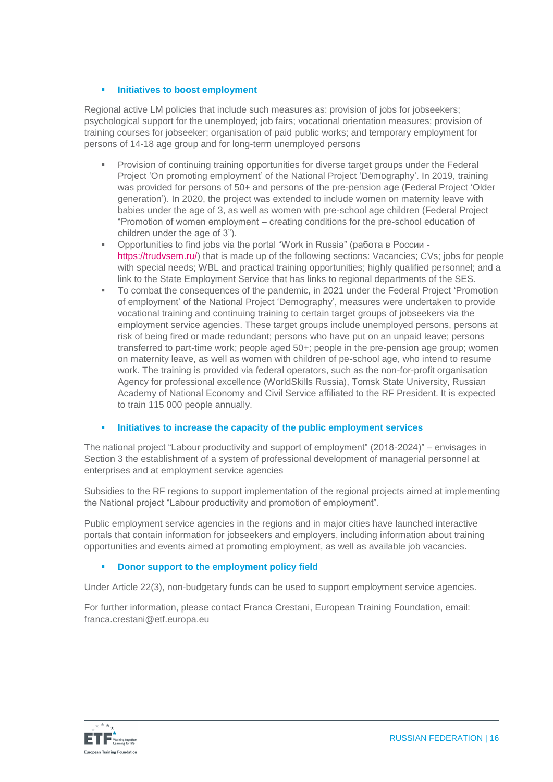### **Initiatives to boost employment**

Regional active LM policies that include such measures as: provision of jobs for jobseekers; psychological support for the unemployed; job fairs; vocational orientation measures; provision of training courses for jobseeker; organisation of paid public works; and temporary employment for persons of 14-18 age group and for long-term unemployed persons

- Provision of continuing training opportunities for diverse target groups under the Federal Project 'On promoting employment' of the National Project 'Demography'. In 2019, training was provided for persons of 50+ and persons of the pre-pension age (Federal Project 'Older generation'). In 2020, the project was extended to include women on maternity leave with babies under the age of 3, as well as women with pre-school age children (Federal Project "Promotion of women employment – creating conditions for the pre-school education of children under the age of 3").
- Opportunities to find jobs via the portal "Work in Russia" (работа в России https://trudvsem.ru/) that is made up of the following sections: Vacancies; CVs; jobs for people with special needs; WBL and practical training opportunities; highly qualified personnel; and a link to the State Employment Service that has links to regional departments of the SES.
- To combat the consequences of the pandemic, in 2021 under the Federal Project 'Promotion of employment' of the National Project 'Demography', measures were undertaken to provide vocational training and continuing training to certain target groups of jobseekers via the employment service agencies. These target groups include unemployed persons, persons at risk of being fired or made redundant; persons who have put on an unpaid leave; persons transferred to part-time work; people aged 50+; people in the pre-pension age group; women on maternity leave, as well as women with children of pe-school age, who intend to resume work. The training is provided via federal operators, such as the non-for-profit organisation Agency for professional excellence (WorldSkills Russia), Tomsk State University, Russian Academy of National Economy and Civil Service affiliated to the RF President. It is expected to train 115 000 people annually.

#### **Initiatives to increase the capacity of the public employment services**

The national project "Labour productivity and support of employment" (2018-2024)" – envisages in Section 3 the establishment of a system of professional development of managerial personnel at enterprises and at employment service agencies

Subsidies to the RF regions to support implementation of the regional projects aimed at implementing the National project "Labour productivity and promotion of employment".

Public employment service agencies in the regions and in major cities have launched interactive portals that contain information for jobseekers and employers, including information about training opportunities and events aimed at promoting employment, as well as available job vacancies.

### **Donor support to the employment policy field**

Under Article 22(3), non-budgetary funds can be used to support employment service agencies.

For further information, please contact Franca Crestani, European Training Foundation, email: franca.crestani@etf.europa.eu

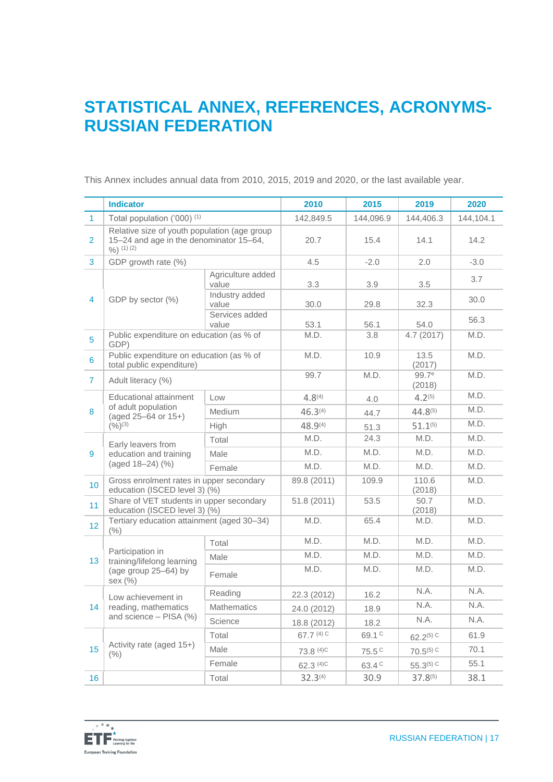### **STATISTICAL ANNEX, REFERENCES, ACRONYMS-RUSSIAN FEDERATION**

This Annex includes annual data from 2010, 2015, 2019 and 2020, or the last available year.

|                 | <b>Indicator</b>                                                                                         |                            | 2010                 | 2015              | 2019                        | 2020      |
|-----------------|----------------------------------------------------------------------------------------------------------|----------------------------|----------------------|-------------------|-----------------------------|-----------|
| $\mathbf{1}$    | Total population ('000) <sup>(1)</sup>                                                                   |                            | 142,849.5            | 144,096.9         | 144,406.3                   | 144,104.1 |
| $\overline{2}$  | Relative size of youth population (age group<br>15-24 and age in the denominator 15-64,<br>$9/0$ (1) (2) |                            | 20.7                 | 15.4              | 14.1                        | 14.2      |
| 3               | GDP growth rate (%)                                                                                      |                            | 4.5                  | $-2.0$            | 2.0                         | $-3.0$    |
| $\overline{4}$  | GDP by sector (%)                                                                                        | Agriculture added<br>value | 3.3                  | 3.9               | 3.5                         | 3.7       |
|                 |                                                                                                          | Industry added<br>value    | 30.0                 | 29.8              | 32.3                        | 30.0      |
|                 |                                                                                                          | Services added<br>value    | 53.1                 | 56.1              | 54.0                        | 56.3      |
| 5               | Public expenditure on education (as % of<br>GDP)                                                         |                            | M.D.                 | 3.8               | 4.7 (2017)                  | M.D.      |
| 6               | Public expenditure on education (as % of<br>total public expenditure)                                    |                            | M.D.                 | 10.9              | 13.5<br>(2017)              | M.D.      |
| $\mathbf{7}$    | Adult literacy (%)                                                                                       |                            | 99.7                 | M.D.              | 99.7 <sup>e</sup><br>(2018) | M.D.      |
|                 | Educational attainment                                                                                   | Low                        | $4.8^{(4)}$          | 4.0               | $4.2^{(5)}$                 | M.D.      |
| 8               | of adult population<br>$(aged 25–64 or 15+)$<br>$(9/6)^{(3)}$                                            | Medium                     | 46.3 <sup>(4)</sup>  | 44.7              | $44.8^{(5)}$                | M.D.      |
|                 |                                                                                                          | High                       | $48.9^{(4)}$         | 51.3              | $51.1^{(5)}$                | M.D.      |
|                 | Early leavers from<br>education and training<br>(aged 18-24) (%)                                         | Total                      | M.D.                 | 24.3              | M.D.                        | M.D.      |
| 9               |                                                                                                          | Male                       | M.D.                 | M.D.              | M.D.                        | M.D.      |
|                 |                                                                                                          | Female                     | M.D.                 | M.D.              | M.D.                        | M.D.      |
| 10              | Gross enrolment rates in upper secondary<br>education (ISCED level 3) (%)                                |                            | 89.8 (2011)          | 109.9             | 110.6<br>(2018)             | M.D.      |
| 11              | Share of VET students in upper secondary<br>education (ISCED level 3) (%)                                |                            | 51.8 (2011)          | 53.5              | 50.7<br>(2018)              | M.D.      |
| 12 <sub>2</sub> | Tertiary education attainment (aged 30-34)<br>(%)                                                        |                            | M.D.                 | 65.4              | M.D.                        | M.D.      |
|                 | Participation in<br>training/lifelong learning<br>(age group 25-64) by<br>sex (%)                        | Total                      | M.D.                 | M.D.              | M.D.                        | M.D.      |
| 13              |                                                                                                          | Male                       | M.D.                 | M.D.              | M.D.                        | M.D.      |
|                 |                                                                                                          | Female                     | M.D.                 | M.D.              | M.D.                        | M.D.      |
| 14              | Low achievement in<br>reading, mathematics<br>and science $-$ PISA $(\%)$                                | Reading                    | 22.3 (2012)          | 16.2              | N.A.                        | N.A.      |
|                 |                                                                                                          | <b>Mathematics</b>         | 24.0 (2012)          | 18.9              | N.A.                        | N.A.      |
|                 |                                                                                                          | Science                    | 18.8 (2012)          | 18.2              | N.A.                        | N.A.      |
| 15              | Activity rate (aged 15+)<br>$(\% )$                                                                      | Total                      | 67.7 (4) C           | 69.1 C            | $62.2^{(5) C}$              | 61.9      |
|                 |                                                                                                          | Male                       | 73.8 <sup>(4)C</sup> | 75.5 <sup>C</sup> | $70.5^{(5)}$ C              | 70.1      |
|                 |                                                                                                          | Female                     | 62.3 <sup>(4)C</sup> | 63.4 <sup>C</sup> | $55.3^{(5)}$ C              | 55.1      |
| 16              |                                                                                                          | Total                      | $32.3^{(4)}$         | 30.9              | $37.8^{(5)}$                | 38.1      |

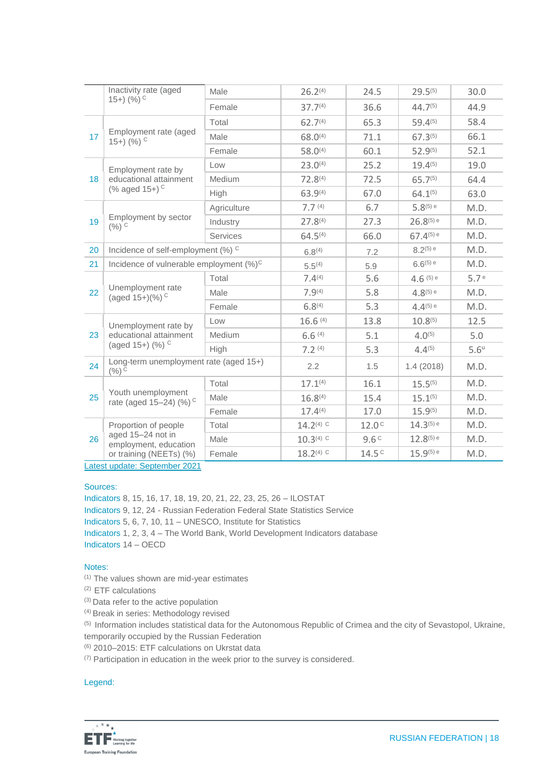|    | Inactivity rate (aged                                                                         | Male        | 26.2 <sup>(4)</sup> | 24.5              | $29.5^{(5)}$   | 30.0               |
|----|-----------------------------------------------------------------------------------------------|-------------|---------------------|-------------------|----------------|--------------------|
|    | $(15+)$ $(%)^C$                                                                               | Female      | 37.7 <sup>(4)</sup> | 36.6              | $44.7^{(5)}$   | 44.9               |
| 17 | Employment rate (aged<br>$15+$ ) (%) $\circ$                                                  | Total       | 62.7 <sup>(4)</sup> | 65.3              | $59.4^{(5)}$   | 58.4               |
|    |                                                                                               | Male        | $68.0^{(4)}$        | 71.1              | $67.3^{(5)}$   | 66.1               |
|    |                                                                                               | Female      | $58.0^{(4)}$        | 60.1              | $52.9^{(5)}$   | 52.1               |
| 18 | Employment rate by<br>educational attainment<br>(% aged 15+) <sup>C</sup>                     | Low         | $23.0^{(4)}$        | 25.2              | $19.4^{(5)}$   | 19.0               |
|    |                                                                                               | Medium      | $72.8^{(4)}$        | 72.5              | $65.7^{(5)}$   | 64.4               |
|    |                                                                                               | High        | 63.9(4)             | 67.0              | $64.1^{(5)}$   | 63.0               |
|    | Employment by sector<br>$(%)$ C                                                               | Agriculture | 7.7 <sup>(4)</sup>  | 6.7               | $5.8^{(5)}$ e  | M.D.               |
| 19 |                                                                                               | Industry    | $27.8^{(4)}$        | 27.3              | $26.8^{(5) e}$ | M.D.               |
|    |                                                                                               | Services    | $64.5^{(4)}$        | 66.0              | $67.4^{(5)}$ e | M.D.               |
| 20 | Incidence of self-employment (%) <sup>C</sup>                                                 |             | $6.8^{(4)}$         | 7.2               | $8.2^{(5)}$ e  | M.D.               |
| 21 | Incidence of vulnerable employment (%) <sup>C</sup>                                           |             | $5.5^{(4)}$         | 5.9               | $6.6^{(5)}$ e  | M.D.               |
|    | Unemployment rate<br>(aged 15+)(%) <sup>C</sup>                                               | Total       | 7.4(4)              | 5.6               | $4.6^{(5)}$ e  | 5.7e               |
| 22 |                                                                                               | Male        | $7.9^{(4)}$         | 5.8               | $4.8^{(5)}$ e  | M.D.               |
|    |                                                                                               | Female      | 6.8 <sup>(4)</sup>  | 5.3               | $4.4^{(5)}$ e  | M.D.               |
|    | Unemployment rate by<br>educational attainment<br>(aged 15+) (%) C                            | Low         | 16.6(4)             | 13.8              | $10.8^{(5)}$   | 12.5               |
| 23 |                                                                                               | Medium      | 6.6(4)              | 5.1               | $4.0^{(5)}$    | 5.0                |
|    |                                                                                               | High        | 7.2(4)              | 5.3               | $4.4^{(5)}$    | $5.6^{\mathrm{u}}$ |
| 24 | Long-term unemployment rate (aged 15+)<br>$(%)$ <sup>C</sup>                                  |             | 2.2                 | 1.5               | 1.4(2018)      | M.D.               |
| 25 | Youth unemployment<br>rate (aged 15-24) (%) <sup>C</sup>                                      | Total       | $17.1^{(4)}$        | 16.1              | $15.5^{(5)}$   | M.D.               |
|    |                                                                                               | Male        | 16.8 <sup>(4)</sup> | 15.4              | $15.1^{(5)}$   | M.D.               |
|    |                                                                                               | Female      | 17.4(4)             | 17.0              | $15.9^{(5)}$   | M.D.               |
| 26 | Proportion of people<br>aged 15-24 not in<br>employment, education<br>or training (NEETs) (%) | Total       | $14.2(4)$ C         | 12.0 <sup>c</sup> | $14.3^{(5) e}$ | M.D.               |
|    |                                                                                               | Male        | $10.3(4)$ C         | 9.6 <sup>c</sup>  | $12.8^{(5)}$ e | M.D.               |
|    |                                                                                               | Female      | 18.2(4) C           | 14.5 <sup>c</sup> | $15.9^{(5) e}$ | M.D.               |

Latest update: September 2021

#### Sources:

Indicators 8, 15, 16, 17, 18, 19, 20, 21, 22, 23, 25, 26 – ILOSTAT Indicators 9, 12, 24 - Russian Federation Federal State Statistics Service Indicators 5, 6, 7, 10, 11 – UNESCO, Institute for Statistics Indicators 1, 2, 3, 4 – The World Bank, World Development Indicators database Indicators 14 – OECD

#### Notes:

(1) The values shown are mid-year estimates

- (2) ETF calculations
- (3) Data refer to the active population

(4) Break in series: Methodology revised

(5) Information includes statistical data for the Autonomous Republic of Crimea and the city of Sevastopol, Ukraine, temporarily occupied by the Russian Federation

(6) 2010–2015: ETF calculations on Ukrstat data

 $(7)$  Participation in education in the week prior to the survey is considered.

#### Legend:

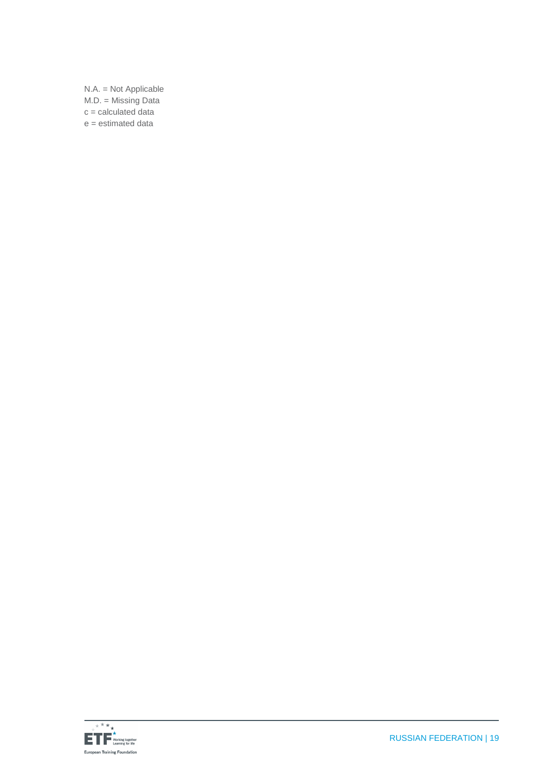N.A. = Not Applicable M.D. = Missing Data  $c =$  calculated data e = estimated data

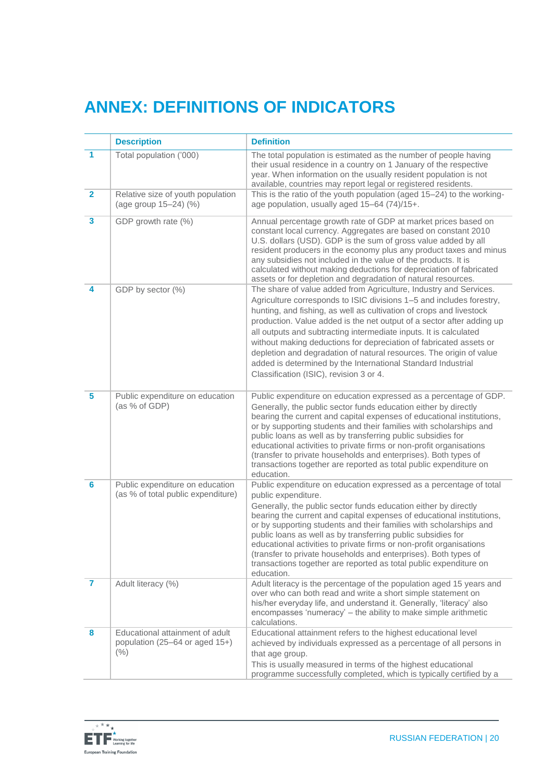# **ANNEX: DEFINITIONS OF INDICATORS**

|                         | <b>Description</b>                                                           | <b>Definition</b>                                                                                                                                                                                                                                                                                                                                                                                                                                                                                                                                                                                                      |
|-------------------------|------------------------------------------------------------------------------|------------------------------------------------------------------------------------------------------------------------------------------------------------------------------------------------------------------------------------------------------------------------------------------------------------------------------------------------------------------------------------------------------------------------------------------------------------------------------------------------------------------------------------------------------------------------------------------------------------------------|
| $\blacktriangleleft$    | Total population ('000)                                                      | The total population is estimated as the number of people having<br>their usual residence in a country on 1 January of the respective<br>year. When information on the usually resident population is not<br>available, countries may report legal or registered residents.                                                                                                                                                                                                                                                                                                                                            |
| $\overline{2}$          | Relative size of youth population<br>(age group 15-24) (%)                   | This is the ratio of the youth population (aged 15-24) to the working-<br>age population, usually aged 15-64 (74)/15+.                                                                                                                                                                                                                                                                                                                                                                                                                                                                                                 |
| $\overline{\mathbf{3}}$ | GDP growth rate (%)                                                          | Annual percentage growth rate of GDP at market prices based on<br>constant local currency. Aggregates are based on constant 2010<br>U.S. dollars (USD). GDP is the sum of gross value added by all<br>resident producers in the economy plus any product taxes and minus<br>any subsidies not included in the value of the products. It is<br>calculated without making deductions for depreciation of fabricated<br>assets or for depletion and degradation of natural resources.                                                                                                                                     |
| 4                       | GDP by sector (%)                                                            | The share of value added from Agriculture, Industry and Services.<br>Agriculture corresponds to ISIC divisions 1-5 and includes forestry,<br>hunting, and fishing, as well as cultivation of crops and livestock<br>production. Value added is the net output of a sector after adding up<br>all outputs and subtracting intermediate inputs. It is calculated<br>without making deductions for depreciation of fabricated assets or<br>depletion and degradation of natural resources. The origin of value<br>added is determined by the International Standard Industrial<br>Classification (ISIC), revision 3 or 4. |
| $\overline{\mathbf{5}}$ | Public expenditure on education<br>(as % of GDP)                             | Public expenditure on education expressed as a percentage of GDP.<br>Generally, the public sector funds education either by directly<br>bearing the current and capital expenses of educational institutions,<br>or by supporting students and their families with scholarships and<br>public loans as well as by transferring public subsidies for<br>educational activities to private firms or non-profit organisations<br>(transfer to private households and enterprises). Both types of<br>transactions together are reported as total public expenditure on<br>education.                                       |
| $6\phantom{a}$          | Public expenditure on education<br>(as % of total public expenditure)        | Public expenditure on education expressed as a percentage of total<br>public expenditure.<br>Generally, the public sector funds education either by directly<br>bearing the current and capital expenses of educational institutions,<br>or by supporting students and their families with scholarships and<br>public loans as well as by transferring public subsidies for<br>educational activities to private firms or non-profit organisations<br>(transfer to private households and enterprises). Both types of<br>transactions together are reported as total public expenditure on<br>education.               |
| $\overline{7}$          | Adult literacy (%)                                                           | Adult literacy is the percentage of the population aged 15 years and<br>over who can both read and write a short simple statement on<br>his/her everyday life, and understand it. Generally, 'literacy' also<br>encompasses 'numeracy' - the ability to make simple arithmetic<br>calculations.                                                                                                                                                                                                                                                                                                                        |
| 8                       | Educational attainment of adult<br>population (25-64 or aged 15+)<br>$(\% )$ | Educational attainment refers to the highest educational level<br>achieved by individuals expressed as a percentage of all persons in<br>that age group.<br>This is usually measured in terms of the highest educational<br>programme successfully completed, which is typically certified by a                                                                                                                                                                                                                                                                                                                        |

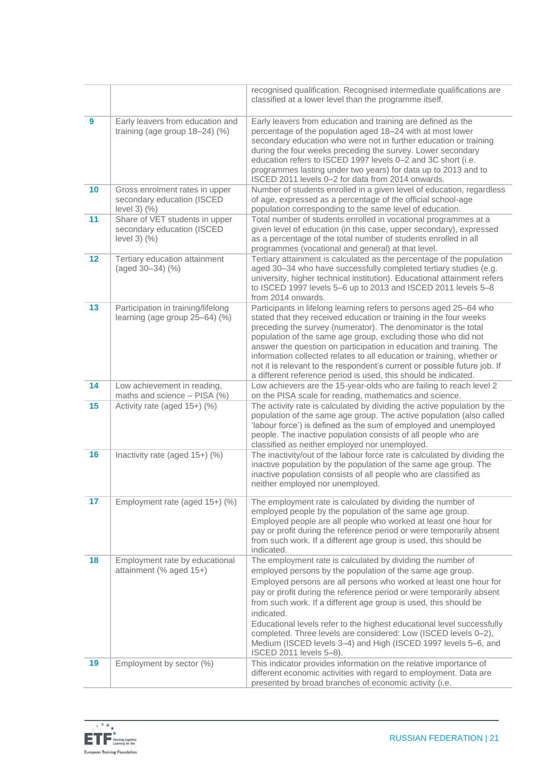|                  |                                                                              | recognised qualification. Recognised intermediate qualifications are<br>classified at a lower level than the programme itself.                                                                                                                                                                                                                                                                                                                                                                                                                                                                    |
|------------------|------------------------------------------------------------------------------|---------------------------------------------------------------------------------------------------------------------------------------------------------------------------------------------------------------------------------------------------------------------------------------------------------------------------------------------------------------------------------------------------------------------------------------------------------------------------------------------------------------------------------------------------------------------------------------------------|
| $\boldsymbol{9}$ | Early leavers from education and<br>training (age group $18-24$ ) (%)        | Early leavers from education and training are defined as the<br>percentage of the population aged 18-24 with at most lower<br>secondary education who were not in further education or training<br>during the four weeks preceding the survey. Lower secondary<br>education refers to ISCED 1997 levels 0-2 and 3C short (i.e.<br>programmes lasting under two years) for data up to 2013 and to<br>ISCED 2011 levels 0-2 for data from 2014 onwards.                                                                                                                                             |
| 10               | Gross enrolment rates in upper<br>secondary education (ISCED<br>level 3) (%) | Number of students enrolled in a given level of education, regardless<br>of age, expressed as a percentage of the official school-age<br>population corresponding to the same level of education.                                                                                                                                                                                                                                                                                                                                                                                                 |
| 11               | Share of VET students in upper<br>secondary education (ISCED<br>level 3) (%) | Total number of students enrolled in vocational programmes at a<br>given level of education (in this case, upper secondary), expressed<br>as a percentage of the total number of students enrolled in all<br>programmes (vocational and general) at that level.                                                                                                                                                                                                                                                                                                                                   |
| 12               | Tertiary education attainment<br>(aged 30-34) (%)                            | Tertiary attainment is calculated as the percentage of the population<br>aged 30-34 who have successfully completed tertiary studies (e.g.<br>university, higher technical institution). Educational attainment refers<br>to ISCED 1997 levels 5-6 up to 2013 and ISCED 2011 levels 5-8<br>from 2014 onwards.                                                                                                                                                                                                                                                                                     |
| 13               | Participation in training/lifelong<br>learning (age group 25-64) (%)         | Participants in lifelong learning refers to persons aged 25-64 who<br>stated that they received education or training in the four weeks<br>preceding the survey (numerator). The denominator is the total<br>population of the same age group, excluding those who did not<br>answer the question on participation in education and training. The<br>information collected relates to all education or training, whether or<br>not it is relevant to the respondent's current or possible future job. If<br>a different reference period is used, this should be indicated.                       |
| 14               | Low achievement in reading,<br>maths and science - PISA (%)                  | Low achievers are the 15-year-olds who are failing to reach level 2<br>on the PISA scale for reading, mathematics and science.                                                                                                                                                                                                                                                                                                                                                                                                                                                                    |
| 15               | Activity rate (aged 15+) (%)                                                 | The activity rate is calculated by dividing the active population by the<br>population of the same age group. The active population (also called<br>'labour force') is defined as the sum of employed and unemployed<br>people. The inactive population consists of all people who are<br>classified as neither employed nor unemployed.                                                                                                                                                                                                                                                          |
| 16               | Inactivity rate (aged 15+) (%)                                               | The inactivity/out of the labour force rate is calculated by dividing the<br>inactive population by the population of the same age group. The<br>inactive population consists of all people who are classified as<br>neither employed nor unemployed.                                                                                                                                                                                                                                                                                                                                             |
| 17               | Employment rate (aged 15+) (%)                                               | The employment rate is calculated by dividing the number of<br>employed people by the population of the same age group.<br>Employed people are all people who worked at least one hour for<br>pay or profit during the reference period or were temporarily absent<br>from such work. If a different age group is used, this should be<br>indicated.                                                                                                                                                                                                                                              |
| 18               | Employment rate by educational<br>attainment (% aged 15+)                    | The employment rate is calculated by dividing the number of<br>employed persons by the population of the same age group.<br>Employed persons are all persons who worked at least one hour for<br>pay or profit during the reference period or were temporarily absent<br>from such work. If a different age group is used, this should be<br>indicated.<br>Educational levels refer to the highest educational level successfully<br>completed. Three levels are considered: Low (ISCED levels 0-2),<br>Medium (ISCED levels 3-4) and High (ISCED 1997 levels 5-6, and<br>ISCED 2011 levels 5-8). |
| 19               | Employment by sector (%)                                                     | This indicator provides information on the relative importance of<br>different economic activities with regard to employment. Data are<br>presented by broad branches of economic activity (i.e.                                                                                                                                                                                                                                                                                                                                                                                                  |

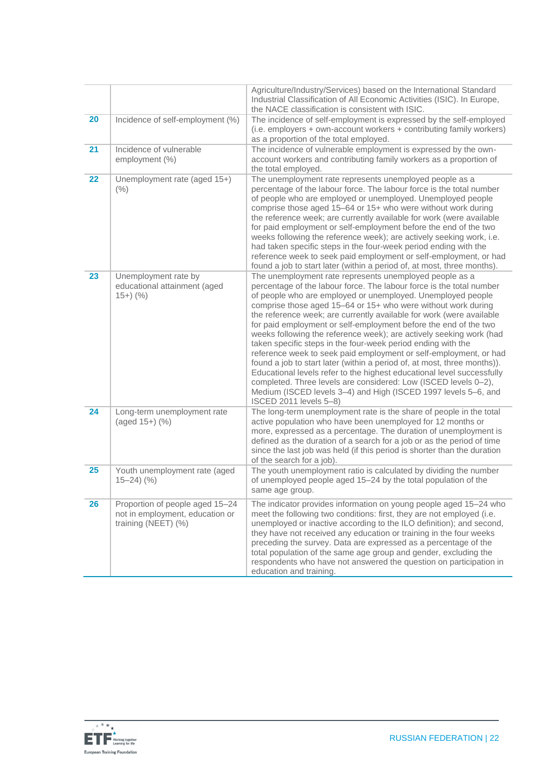|    |                                                                                           | Agriculture/Industry/Services) based on the International Standard<br>Industrial Classification of All Economic Activities (ISIC). In Europe,<br>the NACE classification is consistent with ISIC.                                                                                                                                                                                                                                                                                                                                                                                                                                                                                                                                                                                                                                                                                                                                            |
|----|-------------------------------------------------------------------------------------------|----------------------------------------------------------------------------------------------------------------------------------------------------------------------------------------------------------------------------------------------------------------------------------------------------------------------------------------------------------------------------------------------------------------------------------------------------------------------------------------------------------------------------------------------------------------------------------------------------------------------------------------------------------------------------------------------------------------------------------------------------------------------------------------------------------------------------------------------------------------------------------------------------------------------------------------------|
| 20 | Incidence of self-employment (%)                                                          | The incidence of self-employment is expressed by the self-employed<br>(i.e. employers + own-account workers + contributing family workers)<br>as a proportion of the total employed.                                                                                                                                                                                                                                                                                                                                                                                                                                                                                                                                                                                                                                                                                                                                                         |
| 21 | Incidence of vulnerable<br>employment (%)                                                 | The incidence of vulnerable employment is expressed by the own-<br>account workers and contributing family workers as a proportion of<br>the total employed.                                                                                                                                                                                                                                                                                                                                                                                                                                                                                                                                                                                                                                                                                                                                                                                 |
| 22 | Unemployment rate (aged 15+)<br>(% )                                                      | The unemployment rate represents unemployed people as a<br>percentage of the labour force. The labour force is the total number<br>of people who are employed or unemployed. Unemployed people<br>comprise those aged 15-64 or 15+ who were without work during<br>the reference week; are currently available for work (were available<br>for paid employment or self-employment before the end of the two<br>weeks following the reference week); are actively seeking work, i.e.<br>had taken specific steps in the four-week period ending with the<br>reference week to seek paid employment or self-employment, or had<br>found a job to start later (within a period of, at most, three months).                                                                                                                                                                                                                                      |
| 23 | Unemployment rate by<br>educational attainment (aged<br>$15+)$ (%)                        | The unemployment rate represents unemployed people as a<br>percentage of the labour force. The labour force is the total number<br>of people who are employed or unemployed. Unemployed people<br>comprise those aged 15-64 or 15+ who were without work during<br>the reference week; are currently available for work (were available<br>for paid employment or self-employment before the end of the two<br>weeks following the reference week); are actively seeking work (had<br>taken specific steps in the four-week period ending with the<br>reference week to seek paid employment or self-employment, or had<br>found a job to start later (within a period of, at most, three months)).<br>Educational levels refer to the highest educational level successfully<br>completed. Three levels are considered: Low (ISCED levels 0-2),<br>Medium (ISCED levels 3-4) and High (ISCED 1997 levels 5-6, and<br>ISCED 2011 levels 5-8) |
| 24 | Long-term unemployment rate<br>(aged 15+) (%)                                             | The long-term unemployment rate is the share of people in the total<br>active population who have been unemployed for 12 months or<br>more, expressed as a percentage. The duration of unemployment is<br>defined as the duration of a search for a job or as the period of time<br>since the last job was held (if this period is shorter than the duration<br>of the search for a job).                                                                                                                                                                                                                                                                                                                                                                                                                                                                                                                                                    |
| 25 | Youth unemployment rate (aged<br>$15 - 24$ $\left(\frac{9}{6}\right)$                     | The youth unemployment ratio is calculated by dividing the number<br>of unemployed people aged 15-24 by the total population of the<br>same age group.                                                                                                                                                                                                                                                                                                                                                                                                                                                                                                                                                                                                                                                                                                                                                                                       |
| 26 | Proportion of people aged 15-24<br>not in employment, education or<br>training (NEET) (%) | The indicator provides information on young people aged 15-24 who<br>meet the following two conditions: first, they are not employed (i.e.<br>unemployed or inactive according to the ILO definition); and second,<br>they have not received any education or training in the four weeks<br>preceding the survey. Data are expressed as a percentage of the<br>total population of the same age group and gender, excluding the<br>respondents who have not answered the question on participation in<br>education and training.                                                                                                                                                                                                                                                                                                                                                                                                             |

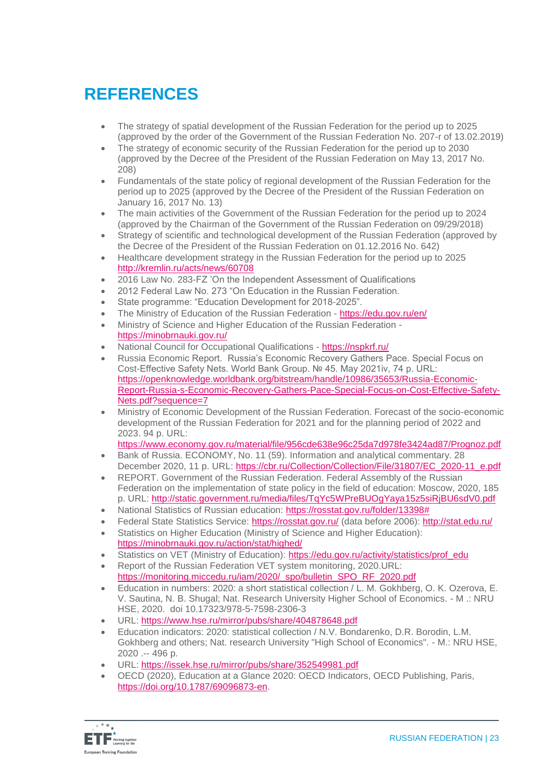# **REFERENCES**

- The strategy of spatial development of the Russian Federation for the period up to 2025 (approved by the order of the Government of the Russian Federation No. 207-r of 13.02.2019)
- The strategy of economic security of the Russian Federation for the period up to 2030 (approved by the Decree of the President of the Russian Federation on May 13, 2017 No. 208)
- Fundamentals of the state policy of regional development of the Russian Federation for the period up to 2025 (approved by the Decree of the President of the Russian Federation on January 16, 2017 No. 13)
- The main activities of the Government of the Russian Federation for the period up to 2024 (approved by the Chairman of the Government of the Russian Federation on 09/29/2018)
- Strategy of scientific and technological development of the Russian Federation (approved by the Decree of the President of the Russian Federation on 01.12.2016 No. 642)
- Healthcare development strategy in the Russian Federation for the period up to 2025 http://kremlin.ru/acts/news/60708
- 2016 Law No. 283-FZ 'On the Independent Assessment of Qualifications
- 2012 Federal Law No. 273 "On Education in the Russian Federation.
- State programme: "Education Development for 2018-2025".
- The Ministry of Education of the Russian Federation https://edu.gov.ru/en/
- Ministry of Science and Higher Education of the Russian Federation https://minobrnauki.gov.ru/
- National Council for Occupational Qualifications https://nspkrf.ru/
- Russia Economic Report. Russia's Economic Recovery Gathers Pace. Special Focus on Cost-Effective Safety Nets. World Bank Group. № 45. May 2021iv, 74 p. URL: https://openknowledge.worldbank.org/bitstream/handle/10986/35653/Russia-Economic-Report-Russia-s-Economic-Recovery-Gathers-Pace-Special-Focus-on-Cost-Effective-Safety-Nets.pdf?sequence=7
- Ministry of Economic Development of the Russian Federation. Forecast of the socio-economic development of the Russian Federation for 2021 and for the planning period of 2022 and 2023. 94 p. URL:
	- https://www.economy.gov.ru/material/file/956cde638e96c25da7d978fe3424ad87/Prognoz.pdf
- Bank of Russia. ECONOMY, No. 11 (59). Information and analytical commentary. 28 December 2020, 11 p. URL: https://cbr.ru/Collection/Collection/File/31807/EC\_2020-11\_e.pdf
- REPORT. Government of the Russian Federation. Federal Assembly of the Russian Federation on the implementation of state policy in the field of education: Moscow, 2020, 185 p. URL: http://static.government.ru/media/files/TqYc5WPreBUOgYaya15z5siRjBU6sdV0.pdf
- National Statistics of Russian education: https://rosstat.gov.ru/folder/13398#
- Federal State Statistics Service: https://rosstat.gov.ru/ (data before 2006): http://stat.edu.ru/
- Statistics on Higher Education (Ministry of Science and Higher Education): https://minobrnauki.gov.ru/action/stat/highed/
- Statistics on VET (Ministry of Education): https://edu.gov.ru/activity/statistics/prof\_edu
- Report of the Russian Federation VET system monitoring, 2020.URL: https://monitoring.miccedu.ru/iam/2020/\_spo/bulletin\_SPO\_RF\_2020.pdf
- Education in numbers: 2020: a short statistical collection / L. M. Gokhberg, O. K. Ozerova, E. V. Sautina, N. B. Shugal; Nat. Research University Higher School of Economics. - M .: NRU HSE, 2020. doi 10.17323/978-5-7598-2306-3
- URL: https://www.hse.ru/mirror/pubs/share/404878648.pdf
- Education indicators: 2020: statistical collection / N.V. Bondarenko, D.R. Borodin, L.M. Gokhberg and others; Nat. research University "High School of Economics". - M.: NRU HSE, 2020 .-- 496 p.
- URL: https://issek.hse.ru/mirror/pubs/share/352549981.pdf
- OECD (2020), Education at a Glance 2020: OECD Indicators, OECD Publishing, Paris, https://doi.org/10.1787/69096873-en.

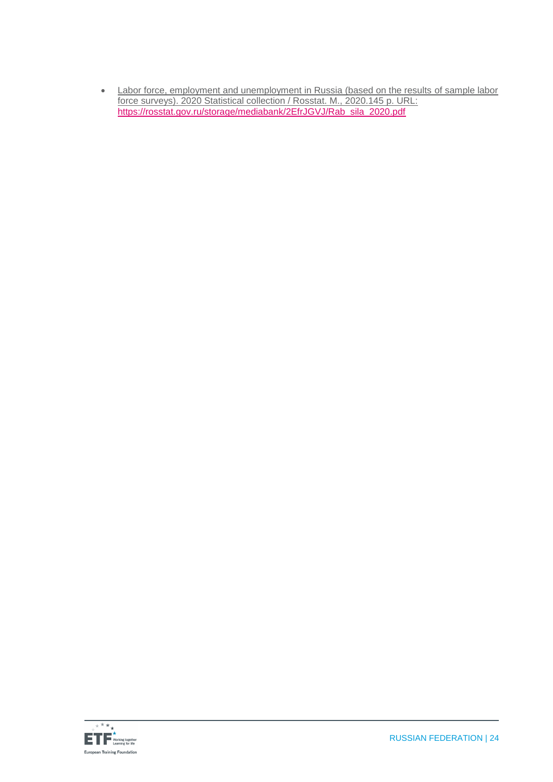• Labor force, employment and unemployment in Russia (based on the results of sample labor force surveys). 2020 Statistical collection / Rosstat. M., 2020.145 p. URL: https://rosstat.gov.ru/storage/mediabank/2EfrJGVJ/Rab\_sila\_2020.pdf

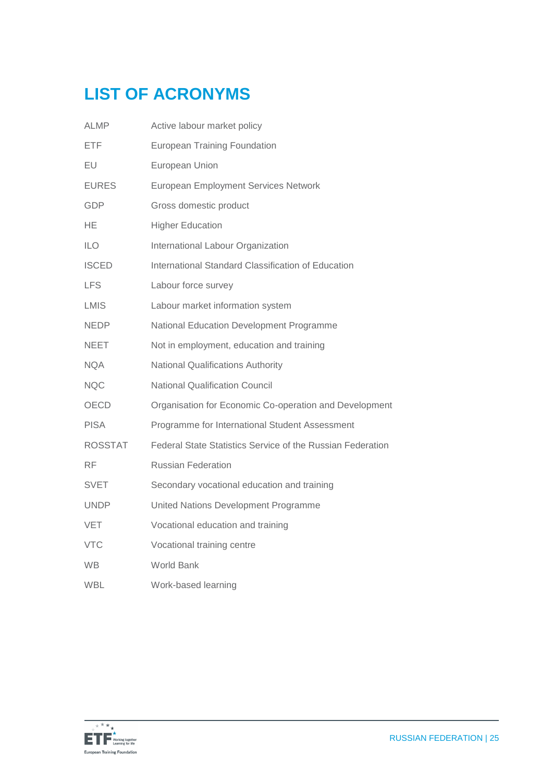# **LIST OF ACRONYMS**

| ALMP           | Active labour market policy                                |
|----------------|------------------------------------------------------------|
| <b>ETF</b>     | <b>European Training Foundation</b>                        |
| EU             | European Union                                             |
| <b>EURES</b>   | <b>European Employment Services Network</b>                |
| <b>GDP</b>     | Gross domestic product                                     |
| НE             | <b>Higher Education</b>                                    |
| <b>ILO</b>     | International Labour Organization                          |
| <b>ISCED</b>   | International Standard Classification of Education         |
| <b>LFS</b>     | Labour force survey                                        |
| <b>LMIS</b>    | Labour market information system                           |
| <b>NEDP</b>    | National Education Development Programme                   |
| NEET           | Not in employment, education and training                  |
| <b>NQA</b>     | <b>National Qualifications Authority</b>                   |
| <b>NQC</b>     | <b>National Qualification Council</b>                      |
| OECD           | Organisation for Economic Co-operation and Development     |
| <b>PISA</b>    | Programme for International Student Assessment             |
| <b>ROSSTAT</b> | Federal State Statistics Service of the Russian Federation |
| RF             | <b>Russian Federation</b>                                  |
| SVET           | Secondary vocational education and training                |
| <b>UNDP</b>    | United Nations Development Programme                       |
| <b>VET</b>     | Vocational education and training                          |
| <b>VTC</b>     | Vocational training centre                                 |
| <b>WB</b>      | <b>World Bank</b>                                          |
| <b>WBL</b>     | Work-based learning                                        |